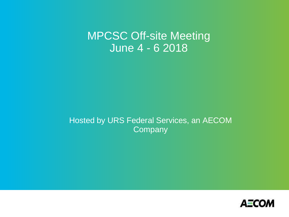MPCSC Off-site Meeting June 4 - 6 2018

Hosted by URS Federal Services, an AECOM **Company** 

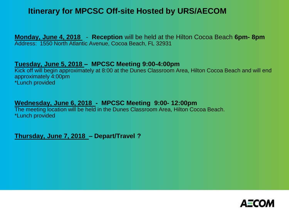## **Itinerary for MPCSC Off-site Hosted by URS/AECOM**

**Monday, June 4, 2018** - **Reception** will be held at the Hilton Cocoa Beach **6pm- 8pm** Address: 1550 North Atlantic Avenue, Cocoa Beach, FL 32931

#### **Tuesday, June 5, 2018 – MPCSC Meeting 9:00-4:00pm**

Kick off will begin approximately at 8:00 at the Dunes Classroom Area, Hilton Cocoa Beach and will end approximately 4:00pm \*Lunch provided

### **Wednesday, June 6, 2018 - MPCSC Meeting 9:00- 12:00pm**

The meeting location will be held in the Dunes Classroom Area, Hilton Cocoa Beach. \*Lunch provided

**Thursday, June 7, 2018 – Depart/Travel ?** 

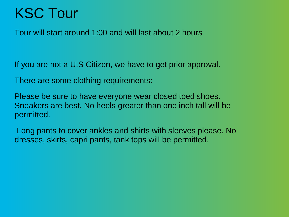# KSC Tour

Tour will start around 1:00 and will last about 2 hours

If you are not a U.S Citizen, we have to get prior approval.

There are some clothing requirements:

Please be sure to have everyone wear closed toed shoes. Sneakers are best. No heels greater than one inch tall will be permitted.

Long pants to cover ankles and shirts with sleeves please. No dresses, skirts, capri pants, tank tops will be permitted.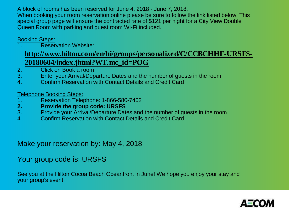A block of rooms has been reserved for June 4, 2018 - June 7, 2018. When booking your room reservation online please be sure to follow the link listed below. This special group page will ensure the contracted rate of \$121 per night for a City View Double Queen Room with parking and guest room Wi-Fi included.

#### Booking Steps:

Reservation Website:

## **http://www.hilton.com/en/hi/groups/personalized/C/CCBCHHF-URSFS-20180604/index.jhtml?WT.mc\_id=POG**

- 2. Click on Book a room
- 3. Enter your Arrival/Departure Dates and the number of guests in the room
- 4. Confirm Reservation with Contact Details and Credit Card

#### Telephone Booking Steps:

- 1. Reservation Telephone: 1-866-580-7402
- **2. Provide the group code: URSFS**
- 3. Provide your Arrival/Departure Dates and the number of guests in the room
- 4. Confirm Reservation with Contact Details and Credit Card

## Make your reservation by: May 4, 2018

## Your group code is: URSFS

See you at the Hilton Cocoa Beach Oceanfront in June! We hope you enjoy your stay and your group's event